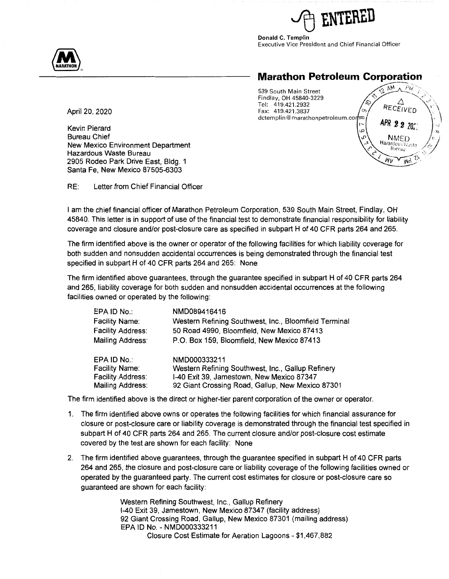

**Donald C. Templin**  Executive Vice President and Chief Financial Officer



# **Marathon Petroleum Corporation** ---·---- 539 South Main Street ~'.l, f:',\_\!', ..AJ'!,i, ·



Kevin Pierard Bureau Chief New Mexico Environment Department Hazardous Waste Bureau 2905 Rodeo Park Drive East, Bldg. 1 Santa Fe, New Mexico 87505-6303

RE: Letter from Chief Financial Officer

I am the chief financial officer of Marathon Petroleum Corporation, 539 South Main Street, Findlay, OH 45840. This letter is in support of use of the financial test to demonstrate financial responsibility for liability coverage and closure and/or post-closure care as specified in subpart H of 40 CFR parts 264 and 265.

The firm identified above is the owner or operator of the following facilities for which liability coverage for both sudden and nonsudden accidental occurrences is being demonstrated through the financial test specified in subpart **H** of 40 CFR parts 264 and 265: None

The firm identified above guarantees, through the guarantee specified in subpart H of 40 CFR parts 264 and 265, liability coverage for both sudden and nonsudden accidental occurrences at the following facilities owned or operated by the following:

| EPA ID No.:              | NMD089416416                                          |
|--------------------------|-------------------------------------------------------|
| Facility Name:           | Western Refining Southwest, Inc., Bloomfield Terminal |
| Facility Address:        | 50 Road 4990, Bloomfield, New Mexico 87413            |
| Mailing Address:         | P.O. Box 159, Bloomfield, New Mexico 87413            |
| EPA ID No.:              | NMD000333211                                          |
| Facility Name:           | Western Refining Southwest, Inc., Gallup Refinery     |
| <b>Facility Address:</b> | I-40 Exit 39, Jamestown, New Mexico 87347             |
| Mailing Address:         | 92 Giant Crossing Road, Gallup, New Mexico 87301      |

The firm identified above is the direct or higher-tier parent corporation of the owner or operator.

- 1. The firm identified above owns or operates the following facilities for which financial assurance for closure or post-closure care or liability coverage is demonstrated through the financial test specified in subpart **H** of 40 CFR parts 264 and 265. The current closure and/or post-closure cost estimate covered by the test are shown for each facility: None
- 2. The firm identified above guarantees, through the guarantee specified in subpart H of 40 CFR parts 264 and 265, the closure and post-closure care or liability coverage of the following facilities owned or operated by the guaranteed party. The current cost estimates for closure or post-closure care so guaranteed are shown for each facility:

Western Refining Southwest, Inc., Gallup Refinery 1-40 Exit 39, Jamestown, New Mexico 87347 (facility address) 92 Giant Crossing Road, Gallup, New Mexico 87301 (mailing address) EPA ID No. - NMD000333211 Closure Cost Estimate for Aeration Lagoons - \$1,467,882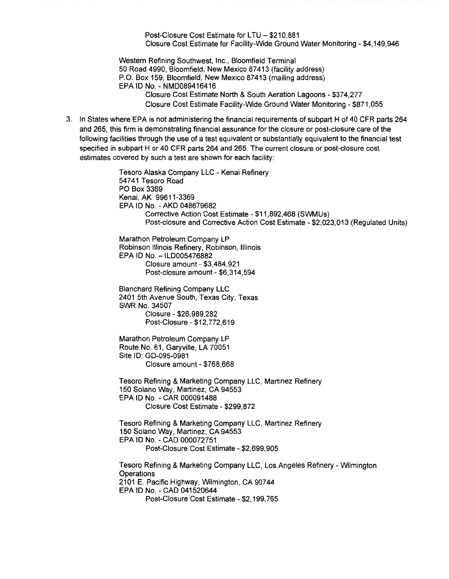Post-Closure Cost Estimate for LTU - \$210,881 Closure Cost Estimate for Facility-Wide Ground Water Monitoring - \$4,149,946

Western Refining Southwest, Inc., Bloomfield Terminal 50 Road 4990, Bloomfield, New Mexico 87413 (facility address) P.O. Box 159, Bloomfield, New Mexico 87413 (mailing address) EPA ID No. - NMD089416416 Closure Cost Estimate North & South Aeration Lagoons - \$374,277 Closure Cost Estimate Facility-Wide Ground Water Monitoring - \$871,055

3. In States where EPA is not administering the financial requirements of subpart H of 40 CFR parts 264 and 265, this firm is demonstrating financial assurance for the closure or post-closure care of the following facilities through the use of a test equivalent or substantially equivalent to the financial test specified in subpart H or 40 CFR parts 264 and 265. The current closure or post-closure cost estimates covered by such a test are shown for each facility:

> Tesoro Alaska Company LLC - Kenai Refinery 54741 Tesoro Road PO Box 3369 Kenai, AK 99611-3369 EPA ID No. - AKO 048679682 Corrective Action Cost Estimate - \$11,892,468 (SWMUs) Post-closure and Corrective Action Cost Estimate - \$2,023,013 (Regulated Units) Marathon Petroleum Company LP Robinson Illinois Refinery, Robinson, Illinois EPA ID No. - ILD005476882 Closure amount - \$3,484,921 Post-closure amount - \$6,314,594 Blanchard Refining Company LLC 2401 5th Avenue South, Texas City, Texas **SWR No.** 34507 Closure - \$26,989,282 Post-Closure - \$12,772,619 Marathon Petroleum Company LP Route No. 61, Garyville, LA 70051 Site ID: GD-095-0981 Closure amount - \$768,668 Tesoro Refining & Marketing Company LLC, Martinez Refinery 150 Solano Way, Martinez, CA 94553 EPA ID No. - CAR 000091488 Closure Cost Estimate - \$299,872 Tesoro Refining & Marketing Company LLC, Martinez Refinery 150 Solano Way, Martinez, CA 94553 EPA ID No. - CAD 000072751 Post-Closure Cost Estimate - \$2,699,905 Tesoro Refining & Marketing Company LLC, Los Angeles Refinery - Wilmington **Operations** 2101 E. Pacific Highway, Wilmington, CA 90744 EPA ID No. - CAD 041520644 Post-Closure Cost Estimate - \$2,199,765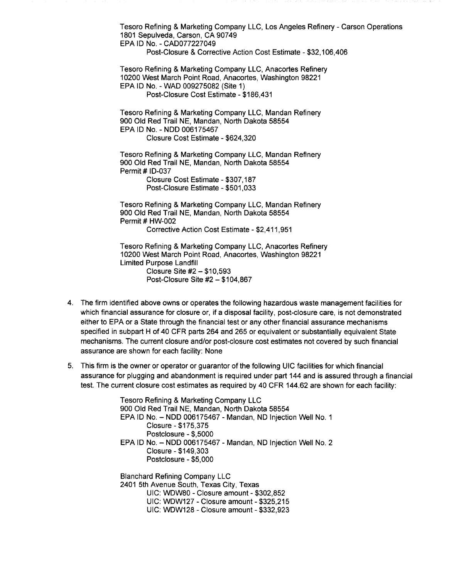Tesoro Refining & Marketing Company LLC, Los Angeles Refinery - Carson Operations 1801 Sepulveda, Carson, CA 90749 EPA ID No. - CAD077227049

Post-Closure & Corrective Action Cost Estimate - \$32,106,406

Tesoro Refining & Marketing Company LLC, Anacortes Refinery 10200 West March Point Road, Anacortes, Washington 98221 EPA ID No. - WAD 009275082 (Site 1)

Post-Closure Cost Estimate - \$186,431

Tesoro Refining & Marketing Company LLC, Mandan Refinery 900 Old Red Trail NE, Mandan, North Dakota 58554 EPA ID No. - NOD 006175467 Closure Cost Estimate - \$624,320

Tesoro Refining & Marketing Company LLC, Mandan Refinery 900 Old Red Trail NE, Mandan, North Dakota 58554 **Permit # ID-037** Closure Cost Estimate - \$307,187

Post-Closure Estimate - \$501,033

Tesoro Refining & Marketing Company LLC, Mandan Refinery 900 Old Red Trail NE, Mandan, North Dakota 58554 Permit # HW-002 Corrective Action Cost Estimate - \$2,411,951

Tesoro Refining & Marketing Company LLC, Anacortes Refinery 10200 West March Point Road, Anacortes, Washington 98221 Limited Purpose Landfill Closure Site #2 - \$10,593 Post-Closure Site #2 - \$104,867

- 4. The firm identified above owns or operates the following hazardous waste management facilities for which financial assurance for closure or, if a disposal facility, post-closure care, is not demonstrated either to EPA or a State through the financial test or any other financial assurance mechanisms specified in subpart H of 40 CFR parts 264 and 265 or equivalent or substantially equivalent State mechanisms. The current closure and/or post-closure cost estimates not covered by such financial assurance are shown for each facility: None
- 5. This firm is the owner or operator or guarantor of the following UIC facilities for which financial assurance for plugging and abandonment is required under part 144 and is assured through a financial test. The current closure cost estimates as required by 40 CFR 144.62 are shown for each facility:

Tesoro Refining & Marketing Company LLC 900 Old Red Trail NE, Mandan, North Dakota 58554 EPA ID No. - NOD 006175467 - Mandan, ND Injection Well No. 1 Closure - \$175,375 Postclosure - \$,5000 EPA ID No. - NOD 006175467 - Mandan, ND Injection Well No. 2 Closure - \$149,303 Postclosure - \$5,000

Blanchard Refining Company LLC 2401 5th Avenue South, Texas City, Texas UIC: WDW80 - Closure amount- \$302,852 UIC: WDW127 - Closure amount - \$325,215 UIC: WDW128 - Closure amount - \$332,923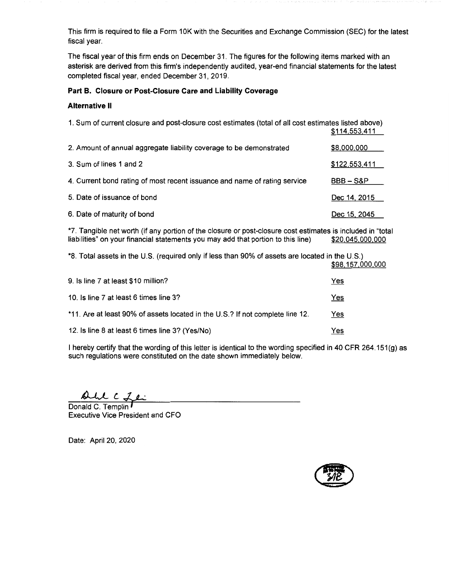This firm is required to file a Form 10K with the Securities and Exchange Commission (SEC) for the latest fiscal year.

The fiscal year of this firm ends on December 31. The figures for the following items marked with an asterisk are derived from this firm's independently audited, year-end financial statements for the latest completed fiscal year, ended December 31, 2019.

## **Part B. Closure or Post-Closure Care and Liability Coverage**

#### **Alternative** II

| 1. Sum of current closure and post-closure cost estimates (total of all cost estimates listed above) | \$114,553,411 |
|------------------------------------------------------------------------------------------------------|---------------|
| 2. Amount of annual aggregate liability coverage to be demonstrated                                  | \$8,000,000   |
| 3. Sum of lines 1 and 2                                                                              | \$122,553,411 |
| 4. Current bond rating of most recent issuance and name of rating service                            | $BBB - S\&P$  |
| 5. Date of issuance of bond                                                                          | Dec 14, 2015  |
| 6. Date of maturity of bond                                                                          | Dec 15, 2045  |

\*7. Tangible net worth (if any portion of the closure or post-closure cost estimates is included in "total liabilities" on your financial statements you may add that portion to this line) \$20,045,000,000 liabilities" on your financial statements you may add that portion to this line)

\*8. Total assets in the U.S. (required only if less than 90% of assets are located in the U.S.) \$98,157,000,000

| 9. Is line 7 at least \$10 million?                                           | Yes        |
|-------------------------------------------------------------------------------|------------|
| 10. Is line 7 at least 6 times line 3?                                        | <u>Yes</u> |
| *11. Are at least 90% of assets located in the U.S.? If not complete line 12. | Yes        |
| 12. Is line 8 at least 6 times line 3? (Yes/No)                               | Yes        |

I hereby certify that the wording of this letter is identical to the wording specified in 40 CFR 264.151 $(q)$  as such regulations were constituted on the date shown immediately below.

 $c$   $z$ 

Donald C. Templin Executive Vice President and CFO

Date: April 20, 2020

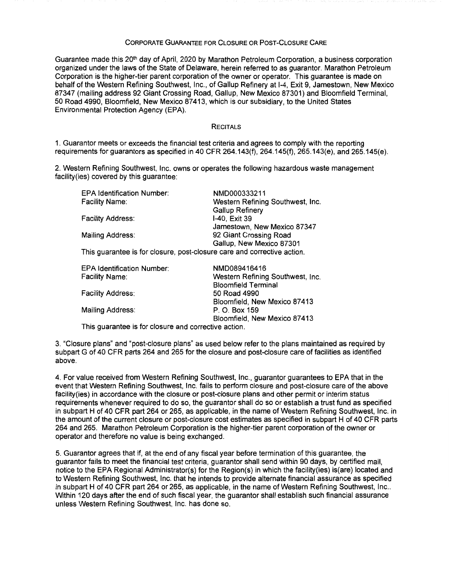### CORPORATE GUARANTEE FOR CLOSURE OR POST-CLOSURE CARE

Guarantee made this 20<sup>th</sup> day of April, 2020 by Marathon Petroleum Corporation, a business corporation organized under the laws of the State of Delaware, herein referred to as guarantor. Marathon Petroleum Corporation is the higher-tier parent corporation of the owner or operator. This guarantee is made on behalf of the Western Refining Southwest, Inc., of Gallup Refinery at 1-4, Exit 9, Jamestown, New Mexico 87347 (mailing address 92 Giant Crossing Road, Gallup, New Mexico 87301) and Bloomfield Terminal, 50 Road 4990, Bloomfield, New Mexico 87 413, which is our subsidiary, to the United States Environmental Protection Agency (EPA).

#### **RECITALS**

1. Guarantor meets or exceeds the financial test criteria and agrees to comply with the reporting requirements for guarantors as specified in 40 CFR 264.143(f), 264.145(f), 265.143(e), and 265.145(e).

2. Western Refining Southwest, Inc. owns or operates the following hazardous waste management facility(ies) covered by this guarantee:

| <b>EPA Identification Number:</b>                                       | NMD000333211                     |
|-------------------------------------------------------------------------|----------------------------------|
| Facility Name:                                                          | Western Refining Southwest, Inc. |
|                                                                         | <b>Gallup Refinery</b>           |
| Facility Address:                                                       | I-40, Exit 39                    |
|                                                                         | Jamestown, New Mexico 87347      |
| Mailing Address:                                                        | 92 Giant Crossing Road           |
|                                                                         | Gallup, New Mexico 87301         |
| This guarantee is for closure, post-closure care and corrective action. |                                  |
| <b>EPA Identification Number:</b>                                       | NMD089416416                     |
| Facility Name:                                                          | Western Refining Southwest, Inc. |

| _________________________________ |                                  |  |
|-----------------------------------|----------------------------------|--|
| Facility Name:                    | Western Refining Southwest, Inc. |  |
|                                   | <b>Bloomfield Terminal</b>       |  |
| <b>Facility Address:</b>          | 50 Road 4990                     |  |
|                                   | Bloomfield, New Mexico 87413     |  |
| Mailing Address:                  | P. O. Box 159                    |  |
|                                   | Bloomfield, New Mexico 87413     |  |
|                                   |                                  |  |

This guarantee is for closure and corrective action.

3. "Closure plans" and "post-closure plans" as used below refer to the plans maintained as required by subpart G of 40 CFR parts 264 and 265 for the closure and post-closure care of facilities as identified above.

4. For value received from Western Refining Southwest, Inc., guarantor guarantees to EPA that in the event that Western Refining Southwest, Inc. fails to perform closure and post-closure care of the above facility(ies) in accordance with the closure or post-closure plans and other permit or interim status requirements whenever required to do so, the guarantor shall do so or establish a trust fund as specified in subpart H of 40 CFR part 264 or 265, as applicable, in the name of Western Refining Southwest, Inc. in the amount of the current closure or post-closure cost estimates as specified in subpart H of 40 CFR parts 264 and 265. Marathon Petroleum Corporation is the higher-tier parent corporation of the owner or operator and therefore no value is being exchanged.

5. Guarantor agrees that if, at the end of any fiscal year before termination of this guarantee, the guarantor fails to meet the financial test criteria, guarantor shall send within 90 days, by certified mail, notice to the EPA Regional Administrator(s) for the Region(s) in which the facility(ies) is(are) located and to Western Refining Southwest, Inc. that he intends to provide alternate financial assurance as specified in subpart H of 40 CFR part 264 or 265, as applicable, in the name of Western Refining Southwest, Inc.. Within 120 days after the end of such fiscal year, the guarantor shall establish such financial assurance unless Western Refining Southwest, Inc. has done so.